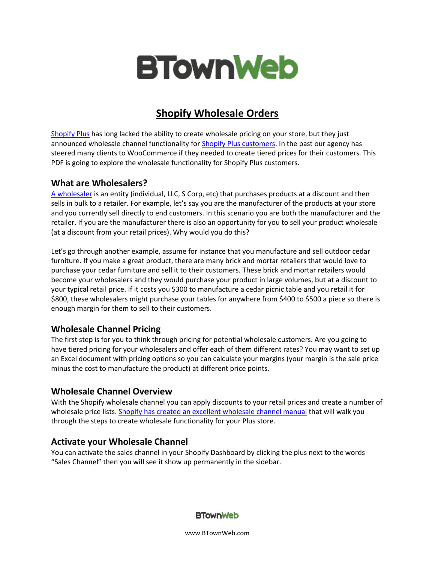

# **Shopify Wholesale Orders**

[Shopify Plus](https://www.shopify.com/plus?ref=btownweb) has long lacked the ability to create wholesale pricing on your store, but they just announced wholesale channel functionality for [Shopify Plus customers.](https://www.btownweb.com/what-is-shopify-plus/) In the past our agency has steered many clients to WooCommerce if they needed to create tiered prices for their customers. This PDF is going to explore the wholesale functionality for Shopify Plus customers.

#### **What are Wholesalers?**

[A wholesaler](http://smallbusiness.chron.com/differences-between-wholesalers-distributors-retailers-30836.html) is an entity (individual, LLC, S Corp, etc) that purchases products at a discount and then sells in bulk to a retailer. For example, let's say you are the manufacturer of the products at your store and you currently sell directly to end customers. In this scenario you are both the manufacturer and the retailer. If you are the manufacturer there is also an opportunity for you to sell your product wholesale (at a discount from your retail prices). Why would you do this?

Let's go through another example, assume for instance that you manufacture and sell outdoor cedar furniture. If you make a great product, there are many brick and mortar retailers that would love to purchase your cedar furniture and sell it to their customers. These brick and mortar retailers would become your wholesalers and they would purchase your product in large volumes, but at a discount to your typical retail price. If it costs you \$300 to manufacture a cedar picnic table and you retail it for \$800, these wholesalers might purchase your tables for anywhere from \$400 to \$500 a piece so there is enough margin for them to sell to their customers.

#### **Wholesale Channel Pricing**

The first step is for you to think through pricing for potential wholesale customers. Are you going to have tiered pricing for your wholesalers and offer each of them different rates? You may want to set up an Excel document with pricing options so you can calculate your margins (your margin is the sale price minus the cost to manufacture the product) at different price points.

# **Wholesale Channel Overview**

With the Shopify wholesale channel you can apply discounts to your retail prices and create a number of wholesale price lists. [Shopify has created an excellent wholesale channel manual](https://help.shopify.com/manual/sell-online/wholesale/?ref=btownweb) that will walk you through the steps to create wholesale functionality for your Plus store.

#### **Activate your Wholesale Channel**

You can activate the sales channel in your Shopify Dashboard by clicking the plus next to the words "Sales Channel" then you will see it show up permanently in the sidebar.



www.BTownWeb.com